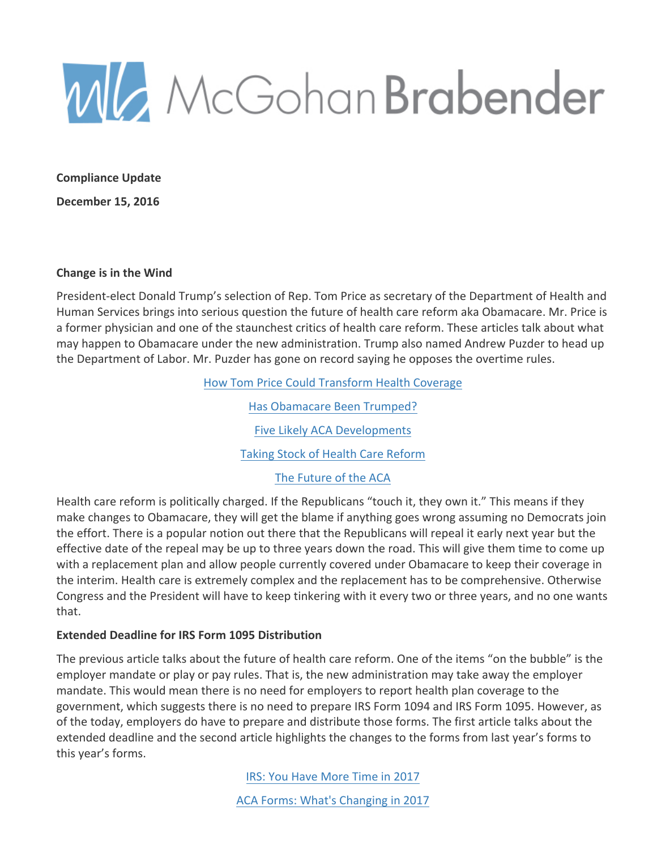

**Compliance Update**

**December 15, 2016**

#### **Change is in the Wind**

President-elect Donald Trump's selection of Rep. Tom Price as secretary of the Department of Health and Human Services brings into serious question the future of health care reform aka Obamacare. Mr. Price is a former physician and one of the staunchest critics of health care reform. These articles talk about what may happen to Obamacare under the new administration. Trump also named Andrew Puzder to head up the Department of Labor. Mr. Puzder has gone on record saying he opposes the overtime rules.

> How Tom Price Could Transform Health Coverage Has Obamacare Been Trumped? Five Likely ACA Developments Taking Stock of Health Care Reform

The Future of the ACA

Health care reform is politically charged. If the Republicans "touch it, they own it." This means if they make changes to Obamacare, they will get the blame if anything goes wrong assuming no Democrats join the effort. There is a popular notion out there that the Republicans will repeal it early next year but the effective date of the repeal may be up to three years down the road. This will give them time to come up with a replacement plan and allow people currently covered under Obamacare to keep their coverage in the interim. Health care is extremely complex and the replacement has to be comprehensive. Otherwise Congress and the President will have to keep tinkering with it every two or three years, and no one wants that.

## **Extended Deadline for IRS Form 1095 Distribution**

The previous article talks about the future of health care reform. One of the items "on the bubble" is the employer mandate or play or pay rules. That is, the new administration may take away the employer mandate. This would mean there is no need for employers to report health plan coverage to the government, which suggests there is no need to prepare IRS Form 1094 and IRS Form 1095. However, as of the today, employers do have to prepare and distribute those forms. The first article talks about the extended deadline and the second article highlights the changes to the forms from last year's forms to this year's forms.

> IRS: You Have More Time in 2017 ACA Forms: What's Changing in 2017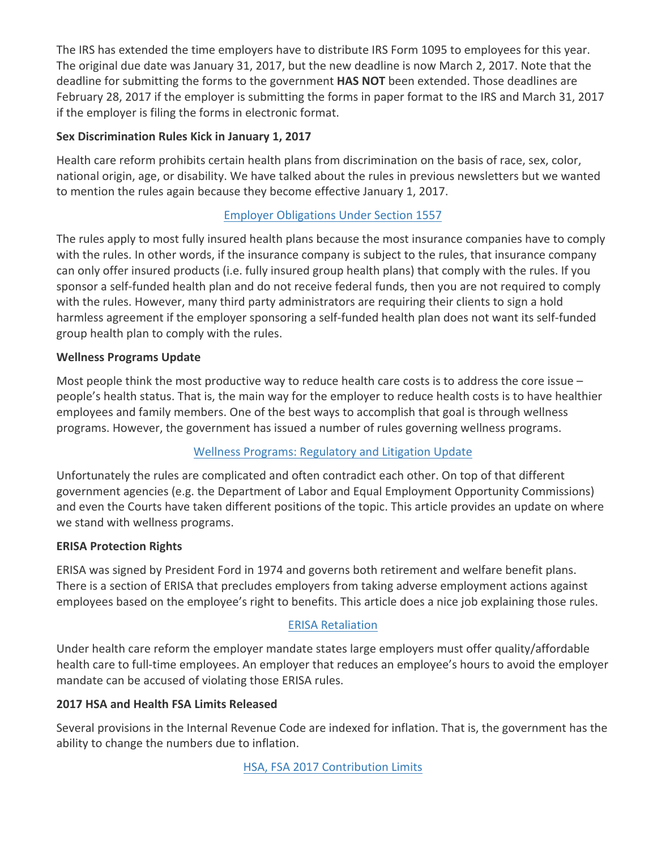The IRS has extended the time employers have to distribute IRS Form 1095 to employees for this year. The original due date was January 31, 2017, but the new deadline is now March 2, 2017. Note that the deadline for submitting the forms to the government **HAS NOT** been extended. Those deadlines are February 28, 2017 if the employer is submitting the forms in paper format to the IRS and March 31, 2017 if the employer is filing the forms in electronic format.

## **Sex Discrimination Rules Kick in January 1, 2017**

Health care reform prohibits certain health plans from discrimination on the basis of race, sex, color, national origin, age, or disability. We have talked about the rules in previous newsletters but we wanted to mention the rules again because they become effective January 1, 2017.

# **Employer Obligations Under Section 1557**

The rules apply to most fully insured health plans because the most insurance companies have to comply with the rules. In other words, if the insurance company is subject to the rules, that insurance company can only offer insured products (i.e. fully insured group health plans) that comply with the rules. If you sponsor a self-funded health plan and do not receive federal funds, then you are not required to comply with the rules. However, many third party administrators are requiring their clients to sign a hold harmless agreement if the employer sponsoring a self-funded health plan does not want its self-funded group health plan to comply with the rules.

## **Wellness Programs Update**

Most people think the most productive way to reduce health care costs is to address the core issue  $$ people's health status. That is, the main way for the employer to reduce health costs is to have healthier employees and family members. One of the best ways to accomplish that goal is through wellness programs. However, the government has issued a number of rules governing wellness programs.

# Wellness Programs: Regulatory and Litigation Update

Unfortunately the rules are complicated and often contradict each other. On top of that different government agencies (e.g. the Department of Labor and Equal Employment Opportunity Commissions) and even the Courts have taken different positions of the topic. This article provides an update on where we stand with wellness programs.

## **ERISA Protection Rights**

ERISA was signed by President Ford in 1974 and governs both retirement and welfare benefit plans. There is a section of ERISA that precludes employers from taking adverse employment actions against employees based on the employee's right to benefits. This article does a nice job explaining those rules.

## **ERISA Retaliation**

Under health care reform the employer mandate states large employers must offer quality/affordable health care to full-time employees. An employer that reduces an employee's hours to avoid the employer mandate can be accused of violating those ERISA rules.

# **2017 HSA and Health FSA Limits Released**

Several provisions in the Internal Revenue Code are indexed for inflation. That is, the government has the ability to change the numbers due to inflation.

HSA, FSA 2017 Contribution Limits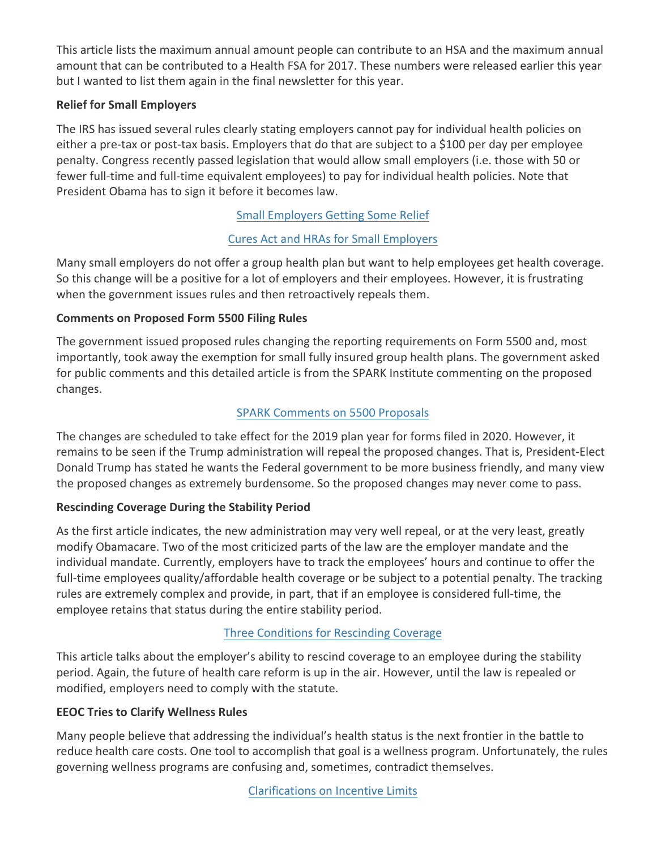This article lists the maximum annual amount people can contribute to an HSA and the maximum annual amount that can be contributed to a Health FSA for 2017. These numbers were released earlier this year but I wanted to list them again in the final newsletter for this year.

## **Relief for Small Employers**

The IRS has issued several rules clearly stating employers cannot pay for individual health policies on either a pre-tax or post-tax basis. Employers that do that are subject to a \$100 per day per employee penalty. Congress recently passed legislation that would allow small employers (i.e. those with 50 or fewer full-time and full-time equivalent employees) to pay for individual health policies. Note that President Obama has to sign it before it becomes law.

# Small Employers Getting Some Relief

# Cures Act and HRAs for Small Employers

Many small employers do not offer a group health plan but want to help employees get health coverage. So this change will be a positive for a lot of employers and their employees. However, it is frustrating when the government issues rules and then retroactively repeals them.

## **Comments on Proposed Form 5500 Filing Rules**

The government issued proposed rules changing the reporting requirements on Form 5500 and, most importantly, took away the exemption for small fully insured group health plans. The government asked for public comments and this detailed article is from the SPARK Institute commenting on the proposed changes.

# SPARK Comments on 5500 Proposals

The changes are scheduled to take effect for the 2019 plan year for forms filed in 2020. However, it remains to be seen if the Trump administration will repeal the proposed changes. That is, President-Elect Donald Trump has stated he wants the Federal government to be more business friendly, and many view the proposed changes as extremely burdensome. So the proposed changes may never come to pass.

# **Rescinding Coverage During the Stability Period**

As the first article indicates, the new administration may very well repeal, or at the very least, greatly modify Obamacare. Two of the most criticized parts of the law are the employer mandate and the individual mandate. Currently, employers have to track the employees' hours and continue to offer the full-time employees quality/affordable health coverage or be subject to a potential penalty. The tracking rules are extremely complex and provide, in part, that if an employee is considered full-time, the employee retains that status during the entire stability period.

# Three Conditions for Rescinding Coverage

This article talks about the employer's ability to rescind coverage to an employee during the stability period. Again, the future of health care reform is up in the air. However, until the law is repealed or modified, employers need to comply with the statute.

## **EEOC Tries to Clarify Wellness Rules**

Many people believe that addressing the individual's health status is the next frontier in the battle to reduce health care costs. One tool to accomplish that goal is a wellness program. Unfortunately, the rules governing wellness programs are confusing and, sometimes, contradict themselves.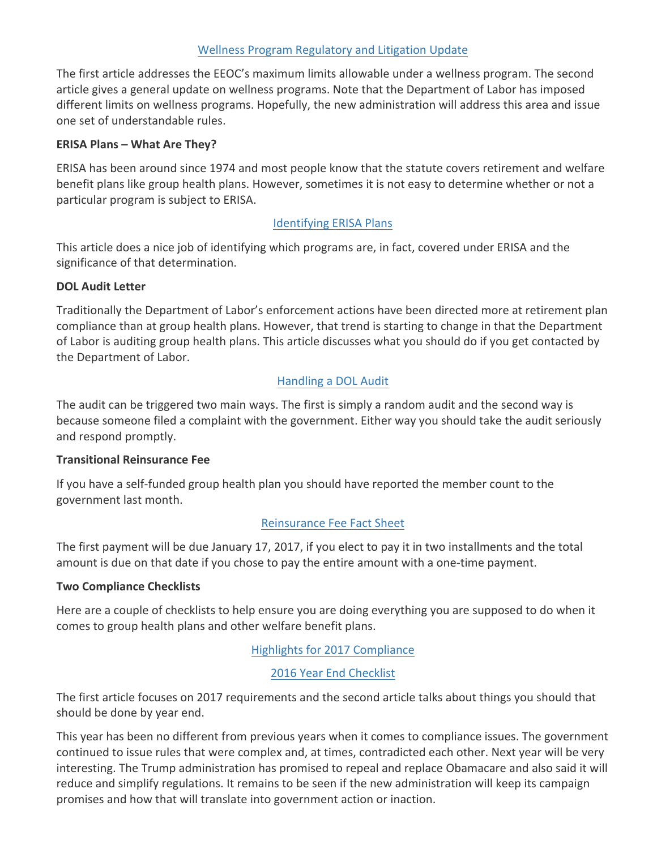## Wellness Program Regulatory and Litigation Update

The first article addresses the EEOC's maximum limits allowable under a wellness program. The second article gives a general update on wellness programs. Note that the Department of Labor has imposed different limits on wellness programs. Hopefully, the new administration will address this area and issue one set of understandable rules.

#### **ERISA Plans – What Are They?**

ERISA has been around since 1974 and most people know that the statute covers retirement and welfare benefit plans like group health plans. However, sometimes it is not easy to determine whether or not a particular program is subject to ERISA.

#### **Identifying ERISA Plans**

This article does a nice job of identifying which programs are, in fact, covered under ERISA and the significance of that determination.

#### **DOL Audit Letter**

Traditionally the Department of Labor's enforcement actions have been directed more at retirement plan compliance than at group health plans. However, that trend is starting to change in that the Department of Labor is auditing group health plans. This article discusses what you should do if you get contacted by the Department of Labor.

## Handling a DOL Audit

The audit can be triggered two main ways. The first is simply a random audit and the second way is because someone filed a complaint with the government. Either way you should take the audit seriously and respond promptly.

#### **Transitional Reinsurance Fee**

If you have a self-funded group health plan you should have reported the member count to the government last month.

#### Reinsurance Fee Fact Sheet

The first payment will be due January 17, 2017, if you elect to pay it in two installments and the total amount is due on that date if you chose to pay the entire amount with a one-time payment.

## **Two Compliance Checklists**

Here are a couple of checklists to help ensure you are doing everything you are supposed to do when it comes to group health plans and other welfare benefit plans.

## Highlights for 2017 Compliance

#### 2016 Year End Checklist

The first article focuses on 2017 requirements and the second article talks about things you should that should be done by year end.

This year has been no different from previous years when it comes to compliance issues. The government continued to issue rules that were complex and, at times, contradicted each other. Next year will be very interesting. The Trump administration has promised to repeal and replace Obamacare and also said it will reduce and simplify regulations. It remains to be seen if the new administration will keep its campaign promises and how that will translate into government action or inaction.